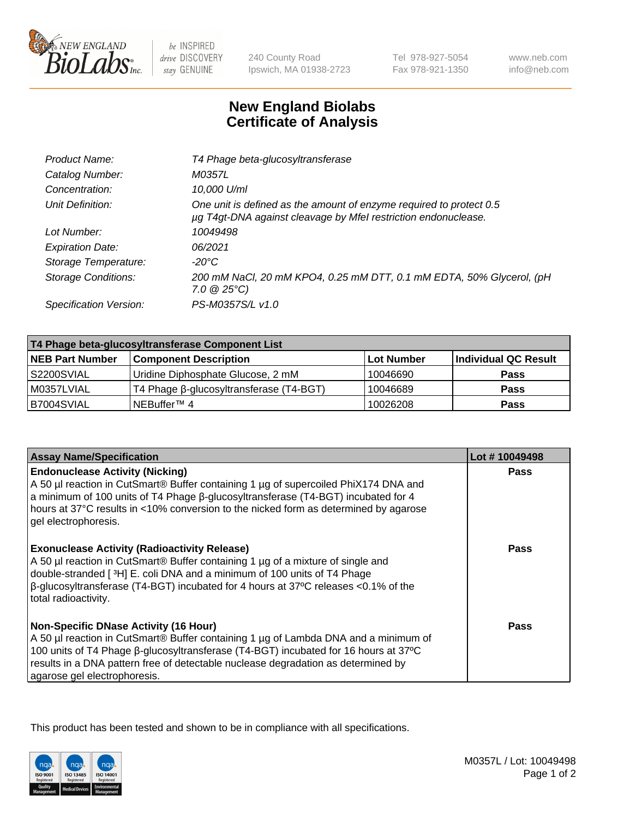

 $be$  INSPIRED drive DISCOVERY stay GENUINE

240 County Road Ipswich, MA 01938-2723 Tel 978-927-5054 Fax 978-921-1350 www.neb.com info@neb.com

## **New England Biolabs Certificate of Analysis**

| T4 Phage beta-glucosyltransferase                                                                                                     |
|---------------------------------------------------------------------------------------------------------------------------------------|
| M0357L                                                                                                                                |
| 10,000 U/ml                                                                                                                           |
| One unit is defined as the amount of enzyme required to protect 0.5<br>µg T4gt-DNA against cleavage by Mfel restriction endonuclease. |
| 10049498                                                                                                                              |
| 06/2021                                                                                                                               |
| -20°C                                                                                                                                 |
| 200 mM NaCl, 20 mM KPO4, 0.25 mM DTT, 0.1 mM EDTA, 50% Glycerol, (pH<br>$7.0 \ @ 25^{\circ}C$                                         |
| PS-M0357S/L v1.0                                                                                                                      |
|                                                                                                                                       |

| T4 Phage beta-glucosyltransferase Component List |                                         |            |                      |  |
|--------------------------------------------------|-----------------------------------------|------------|----------------------|--|
| <b>NEB Part Number</b>                           | <b>Component Description</b>            | Lot Number | Individual QC Result |  |
| S2200SVIAL                                       | Uridine Diphosphate Glucose, 2 mM       | 10046690   | <b>Pass</b>          |  |
| M0357LVIAL                                       | T4 Phage β-glucosyltransferase (T4-BGT) | 10046689   | <b>Pass</b>          |  |
| B7004SVIAL                                       | NEBuffer™ 4                             | 10026208   | <b>Pass</b>          |  |

| <b>Assay Name/Specification</b>                                                                                                                                                                                                                                                                                                                     | Lot #10049498 |
|-----------------------------------------------------------------------------------------------------------------------------------------------------------------------------------------------------------------------------------------------------------------------------------------------------------------------------------------------------|---------------|
| <b>Endonuclease Activity (Nicking)</b><br>A 50 µl reaction in CutSmart® Buffer containing 1 µg of supercoiled PhiX174 DNA and<br>a minimum of 100 units of T4 Phage ß-glucosyltransferase (T4-BGT) incubated for 4<br>hours at 37°C results in <10% conversion to the nicked form as determined by agarose<br>gel electrophoresis.                  | <b>Pass</b>   |
| <b>Exonuclease Activity (Radioactivity Release)</b><br>A 50 µl reaction in CutSmart® Buffer containing 1 µg of a mixture of single and<br>double-stranded [ <sup>3</sup> H] E. coli DNA and a minimum of 100 units of T4 Phage<br>$\beta$ -glucosyltransferase (T4-BGT) incubated for 4 hours at 37°C releases <0.1% of the<br>total radioactivity. | <b>Pass</b>   |
| <b>Non-Specific DNase Activity (16 Hour)</b><br>A 50 µl reaction in CutSmart® Buffer containing 1 µg of Lambda DNA and a minimum of<br>100 units of T4 Phage β-glucosyltransferase (T4-BGT) incubated for 16 hours at 37°C<br>results in a DNA pattern free of detectable nuclease degradation as determined by<br>agarose gel electrophoresis.     | Pass          |

This product has been tested and shown to be in compliance with all specifications.